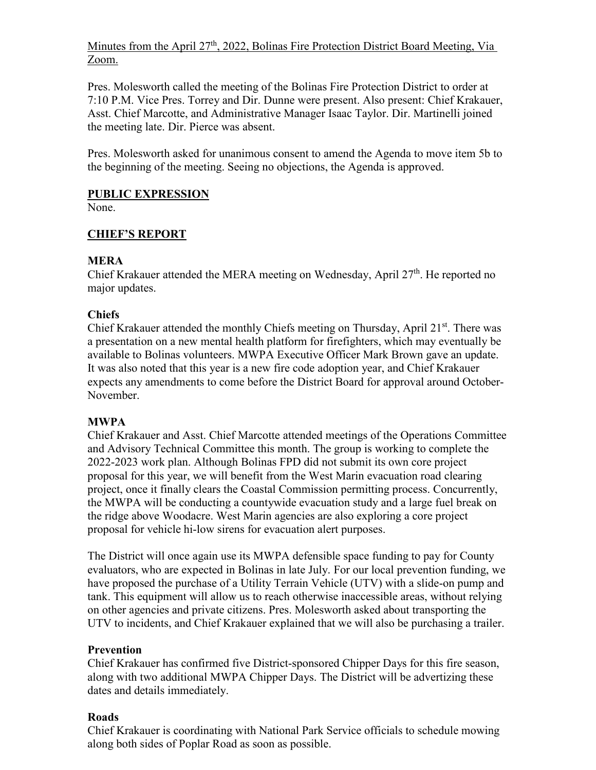# Minutes from the April  $27<sup>th</sup>$ , 2022, Bolinas Fire Protection District Board Meeting, Via Zoom.

Pres. Molesworth called the meeting of the Bolinas Fire Protection District to order at 7:10 P.M. Vice Pres. Torrey and Dir. Dunne were present. Also present: Chief Krakauer, Asst. Chief Marcotte, and Administrative Manager Isaac Taylor. Dir. Martinelli joined the meeting late. Dir. Pierce was absent.

Pres. Molesworth asked for unanimous consent to amend the Agenda to move item 5b to the beginning of the meeting. Seeing no objections, the Agenda is approved.

# **PUBLIC EXPRESSION**

None.

# **CHIEF'S REPORT**

# **MERA**

Chief Krakauer attended the MERA meeting on Wednesday, April 27<sup>th</sup>. He reported no major updates.

# **Chiefs**

Chief Krakauer attended the monthly Chiefs meeting on Thursday, April 21<sup>st</sup>. There was a presentation on a new mental health platform for firefighters, which may eventually be available to Bolinas volunteers. MWPA Executive Officer Mark Brown gave an update. It was also noted that this year is a new fire code adoption year, and Chief Krakauer expects any amendments to come before the District Board for approval around October-November.

## **MWPA**

Chief Krakauer and Asst. Chief Marcotte attended meetings of the Operations Committee and Advisory Technical Committee this month. The group is working to complete the 2022-2023 work plan. Although Bolinas FPD did not submit its own core project proposal for this year, we will benefit from the West Marin evacuation road clearing project, once it finally clears the Coastal Commission permitting process. Concurrently, the MWPA will be conducting a countywide evacuation study and a large fuel break on the ridge above Woodacre. West Marin agencies are also exploring a core project proposal for vehicle hi-low sirens for evacuation alert purposes.

The District will once again use its MWPA defensible space funding to pay for County evaluators, who are expected in Bolinas in late July. For our local prevention funding, we have proposed the purchase of a Utility Terrain Vehicle (UTV) with a slide-on pump and tank. This equipment will allow us to reach otherwise inaccessible areas, without relying on other agencies and private citizens. Pres. Molesworth asked about transporting the UTV to incidents, and Chief Krakauer explained that we will also be purchasing a trailer.

## **Prevention**

Chief Krakauer has confirmed five District-sponsored Chipper Days for this fire season, along with two additional MWPA Chipper Days. The District will be advertizing these dates and details immediately.

## **Roads**

Chief Krakauer is coordinating with National Park Service officials to schedule mowing along both sides of Poplar Road as soon as possible.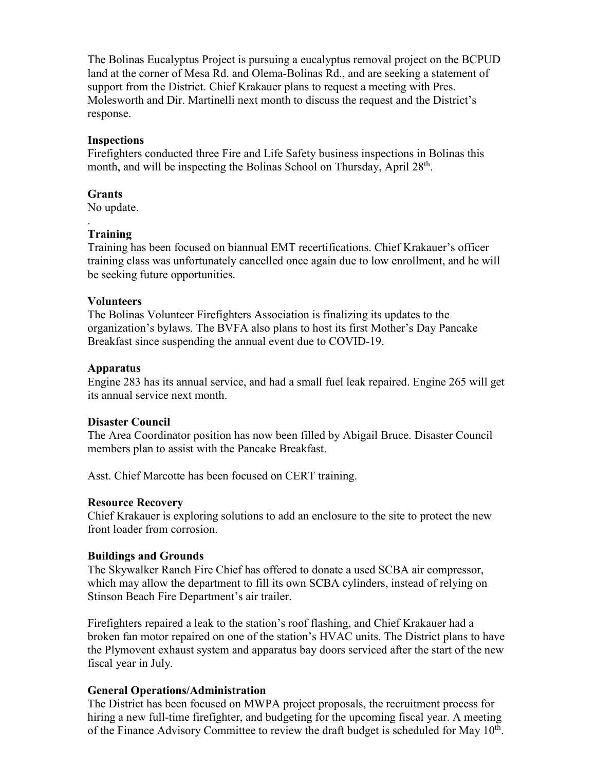The Bolinas Eucalyptus Project is pursuing a eucalyptus removal project on the BCPUD land at the corner of Mesa Rd. and Olema-Bolinas Rd., and are seeking a statement of support from the District. Chief Krakauer plans to request a meeting with Pres. Molesworth and Dir. Martinelli next month to discuss the request and the District's response.

### **Inspections**

Firefighters conducted three Fire and Life Safety business inspections in Bolinas this month, and will be inspecting the Bolinas School on Thursday, April 28<sup>th</sup>.

#### **Grants**

No update.

#### . **Training**

Training has been focused on biannual EMT recertifications. Chief Krakauer's officer training class was unfortunately cancelled once again due to low enrollment, and he will be seeking future opportunities.

### **Volunteers**

The Bolinas Volunteer Firefighters Association is finalizing its updates to the organization's bylaws. The BVFA also plans to host its first Mother's Day Pancake Breakfast since suspending the annual event due to COVID-19.

#### **Apparatus**

Engine 283 has its annual service, and had a small fuel leak repaired. Engine 265 will get its annual service next month.

### **Disaster Council**

The Area Coordinator position has now been filled by Abigail Bruce. Disaster Council members plan to assist with the Pancake Breakfast.

Asst. Chief Marcotte has been focused on CERT training.

#### **Resource Recovery**

Chief Krakauer is exploring solutions to add an enclosure to the site to protect the new front loader from corrosion.

### **Buildings and Grounds**

The Skywalker Ranch Fire Chief has offered to donate a used SCBA air compressor, which may allow the department to fill its own SCBA cylinders, instead of relying on Stinson Beach Fire Department's air trailer.

Firefighters repaired a leak to the station's roof flashing, and Chief Krakauer had a broken fan motor repaired on one of the station's HVAC units. The District plans to have the Plymovent exhaust system and apparatus bay doors serviced after the start of the new fiscal year in July.

### **General Operations/Administration**

The District has been focused on MWPA project proposals, the recruitment process for hiring a new full-time firefighter, and budgeting for the upcoming fiscal year. A meeting of the Finance Advisory Committee to review the draft budget is scheduled for May  $10<sup>th</sup>$ .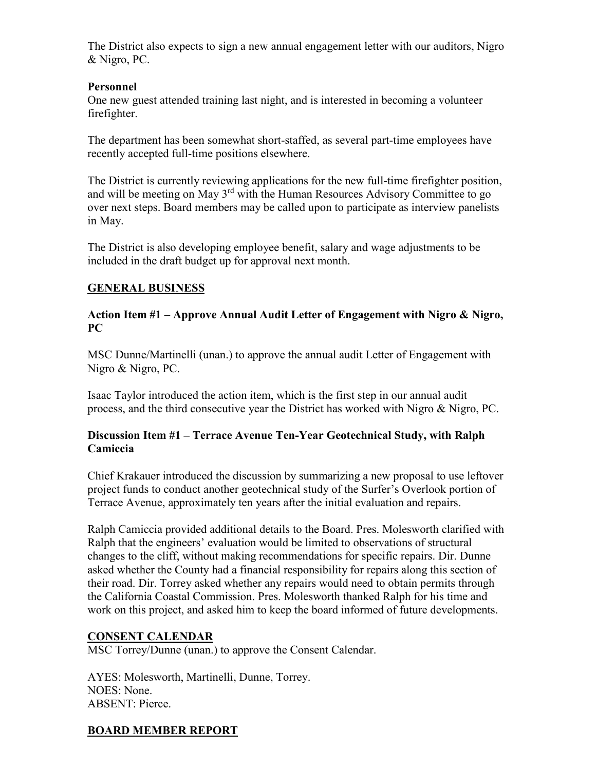The District also expects to sign a new annual engagement letter with our auditors, Nigro & Nigro, PC.

### **Personnel**

One new guest attended training last night, and is interested in becoming a volunteer firefighter.

The department has been somewhat short-staffed, as several part-time employees have recently accepted full-time positions elsewhere.

The District is currently reviewing applications for the new full-time firefighter position, and will be meeting on May  $3<sup>rd</sup>$  with the Human Resources Advisory Committee to go over next steps. Board members may be called upon to participate as interview panelists in May.

The District is also developing employee benefit, salary and wage adjustments to be included in the draft budget up for approval next month.

## **GENERAL BUSINESS**

### **Action Item #1 – Approve Annual Audit Letter of Engagement with Nigro & Nigro, PC**

MSC Dunne/Martinelli (unan.) to approve the annual audit Letter of Engagement with Nigro & Nigro, PC.

Isaac Taylor introduced the action item, which is the first step in our annual audit process, and the third consecutive year the District has worked with Nigro & Nigro, PC.

## **Discussion Item #1 – Terrace Avenue Ten-Year Geotechnical Study, with Ralph Camiccia**

Chief Krakauer introduced the discussion by summarizing a new proposal to use leftover project funds to conduct another geotechnical study of the Surfer's Overlook portion of Terrace Avenue, approximately ten years after the initial evaluation and repairs.

Ralph Camiccia provided additional details to the Board. Pres. Molesworth clarified with Ralph that the engineers' evaluation would be limited to observations of structural changes to the cliff, without making recommendations for specific repairs. Dir. Dunne asked whether the County had a financial responsibility for repairs along this section of their road. Dir. Torrey asked whether any repairs would need to obtain permits through the California Coastal Commission. Pres. Molesworth thanked Ralph for his time and work on this project, and asked him to keep the board informed of future developments.

## **CONSENT CALENDAR**

MSC Torrey/Dunne (unan.) to approve the Consent Calendar.

AYES: Molesworth, Martinelli, Dunne, Torrey. NOES: None. ABSENT: Pierce.

# **BOARD MEMBER REPORT**